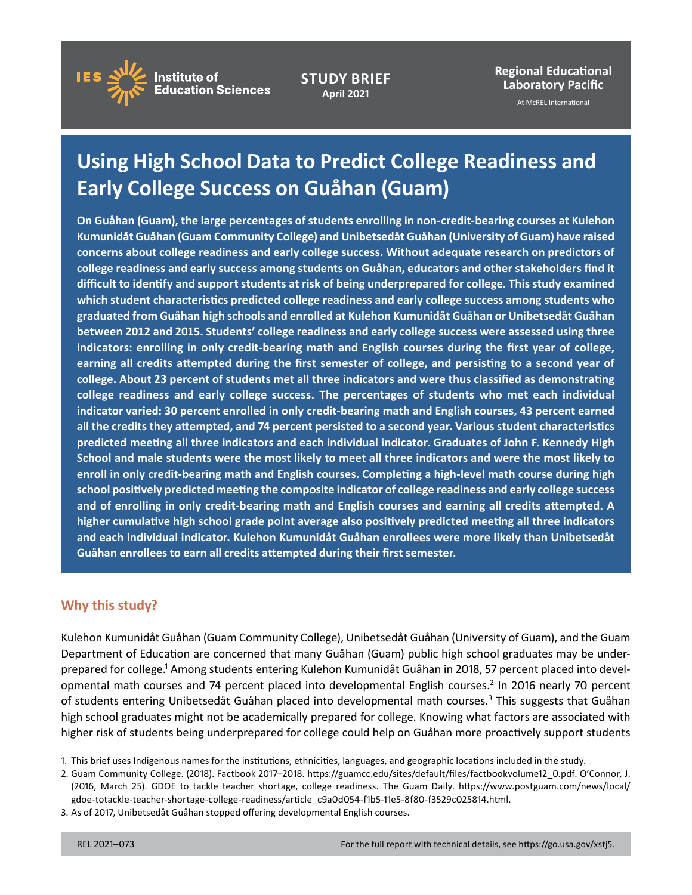

**STUDY BRIEF April 2021**

**Regional Educational Laboratory Pacific** 

At McREL International

# **Using High School Data to Predict College Readiness and Early College Success on Guåhan (Guam)**

 **indicators: enrolling in only credit-bearing math and English courses during the first year of college, earning all credits attempted during the first semester of college, and persisting to a second year of college readiness and early college success. The percentages of students who met each individual predicted meeting all three indicators and each individual indicator. Graduates of John F. Kennedy High school positively predicted meeting the composite indicator of college readiness and early college success and of enrolling in only credit-bearing math and English courses and earning all credits attempted. A On Guåhan (Guam), the large percentages of students enrolling in non-credit-bearing courses at Kulehon Kumunidåt Guåhan (Guam Community College) and Unibetsedåt Guåhan (University of Guam) have raised concerns about college readiness and early college success. Without adequate research on predictors of college readiness and early success among students on Guåhan, educators and other stakeholders find it difficult to identify and support students at risk of being underprepared for college. This study examined which student characteristics predicted college readiness and early college success among students who graduated from Guåhan high schools and enrolled at Kulehon Kumunidåt Guåhan or Unibetsedåt Guåhan between 2012 and 2015. Students' college readiness and early college success were assessed using three college. About 23 percent of students met all three indicators and were thus classified as demonstrating indicator varied: 30 percent enrolled in only credit-bearing math and English courses, 43 percent earned all the credits they attempted, and 74 percent persisted to a second year. Various student characteristics School and male students were the most likely to meet all three indicators and were the most likely to enroll in only credit-bearing math and English courses. Completing a high-level math course during high higher cumulative high school grade point average also positively predicted meeting all three indicators and each individual indicator. Kulehon Kumunidåt Guåhan enrollees were more likely than Unibetsedåt Guåhan enrollees to earn all credits attempted during their first semester.** 

# **Why this study?**

 Kulehon Kumunidåt Guåhan (Guam Community College), Unibetsedåt Guåhan (University of Guam), and the Guam of students entering Unibetsedåt Guåhan placed into developmental math courses.<sup>3</sup> This suggests that Guåhan Department of Education are concerned that many Guåhan (Guam) public high school graduates may be underprepared for college.1 Among students entering Kulehon Kumunidåt Guåhan in 2018, 57 percent placed into developmental math courses and 74 percent placed into developmental English courses.2 In 2016 nearly 70 percent high school graduates might not be academically prepared for college. Knowing what factors are associated with higher risk of students being underprepared for college could help on Guåhan more proactively support students

<sup>1.</sup> This brief uses Indigenous names for the institutions, ethnicities, languages, and geographic locations included in the study.

 2. Guam Community College. (2018). Factbook 2017–2018. [https://guamcc.edu/sites/default/files/factbookvolume12\\_0.pdf.](https://guamcc.edu/sites/default/files/factbookvolume12_0.pdf) O'Connor, J. (2016, March 25). GDOE to tackle teacher shortage, college readiness. The Guam Daily. [https://www.postguam.com/news/local/](https://www.postguam.com/news/local/gdoe-totackle-teacher-shortage-college-readiness/article_c9a0d054-f1b5-11e5-8f80-f3529c025814.html) [gdoe-totackle-teacher-shortage-college-readiness/article\\_c9a0d054-f1b5-11e5-8f80-f3529c025814.html](https://www.postguam.com/news/local/gdoe-totackle-teacher-shortage-college-readiness/article_c9a0d054-f1b5-11e5-8f80-f3529c025814.html).

<sup>3.</sup> As of 2017, Unibetsedåt Guåhan stopped offering developmental English courses.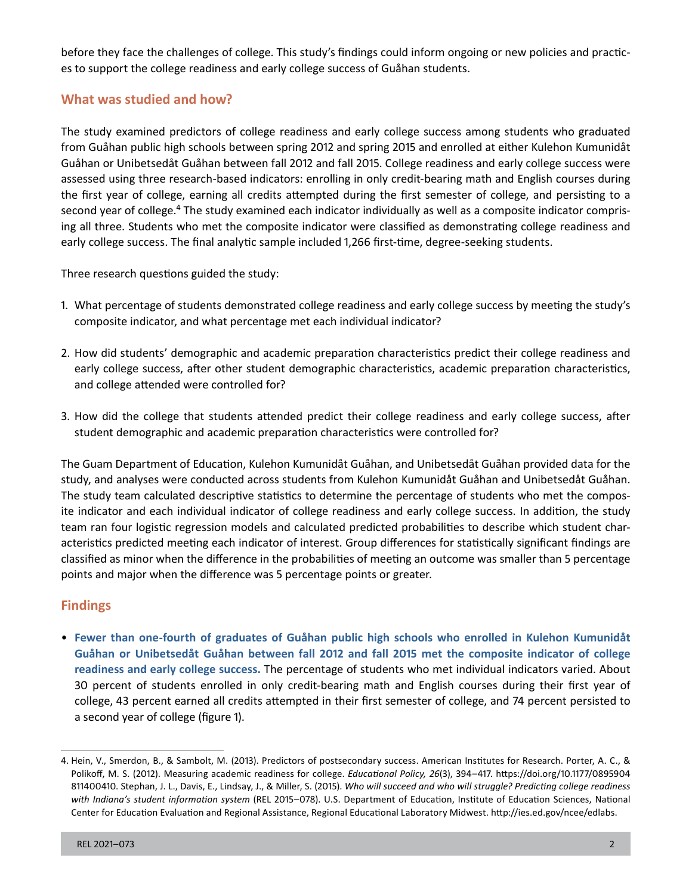before they face the challenges of college. This study's findings could inform ongoing or new policies and practices to support the college readiness and early college success of Guåhan students.

# **What was studied and how?**

 assessed using three research-based indicators: enrolling in only credit-bearing math and English courses during The study examined predictors of college readiness and early college success among students who graduated from Guåhan public high schools between spring 2012 and spring 2015 and enrolled at either Kulehon Kumunidåt Guåhan or Unibetsedåt Guåhan between fall 2012 and fall 2015. College readiness and early college success were the first year of college, earning all credits attempted during the first semester of college, and persisting to a second year of college.<sup>4</sup> The study examined each indicator individually as well as a composite indicator comprising all three. Students who met the composite indicator were classified as demonstrating college readiness and early college success. The final analytic sample included 1,266 first-time, degree-seeking students.

Three research questions guided the study:

- 1. What percentage of students demonstrated college readiness and early college success by meeting the study's composite indicator, and what percentage met each individual indicator?
- 2. How did students' demographic and academic preparation characteristics predict their college readiness and early college success, after other student demographic characteristics, academic preparation characteristics, and college attended were controlled for?
- 3. How did the college that students attended predict their college readiness and early college success, after student demographic and academic preparation characteristics were controlled for?

The Guam Department of Education, Kulehon Kumunidåt Guåhan, and Unibetsedåt Guåhan provided data for the study, and analyses were conducted across students from Kulehon Kumunidåt Guåhan and Unibetsedåt Guåhan. The study team calculated descriptive statistics to determine the percentage of students who met the composite indicator and each individual indicator of college readiness and early college success. In addition, the study team ran four logistic regression models and calculated predicted probabilities to describe which student characteristics predicted meeting each indicator of interest. Group differences for statistically significant findings are classified as minor when the difference in the probabilities of meeting an outcome was smaller than 5 percentage points and major when the difference was 5 percentage points or greater.

# **Findings**

• **Fewer than one-fourth of graduates of Guåhan public high schools who enrolled in Kulehon Kumunidåt Guåhan or Unibetsedåt Guåhan between fall 2012 and fall 2015 met the composite indicator of college readiness and early college success.** The percentage of students who met individual indicators varied. About 30 percent of students enrolled in only credit-bearing math and English courses during their first year of college, 43 percent earned all credits attempted in their first semester of college, and 74 percent persisted to a second year of college (figure 1).

 Polikoff, M. S. (2012). Measuring academic readiness for college. *Educational Policy, 26*(3), 394–417. [https://doi.org/10.1177/0895904](https://doi.org/10.1177/0895904811400410) 4. Hein, V., Smerdon, B., & Sambolt, M. (2013). Predictors of postsecondary success. American Institutes for Research. Porter, A. C., & [811400410.](https://doi.org/10.1177/0895904811400410) Stephan, J. L., Davis, E., Lindsay, J., & Miller, S. (2015). *Who will succeed and who will struggle? Predicting college readiness with Indiana's student information system* (REL 2015–078). U.S. Department of Education, Institute of Education Sciences, National Center for Education Evaluation and Regional Assistance, Regional Educational Laboratory Midwest. <http://ies.ed.gov/ncee/edlabs>.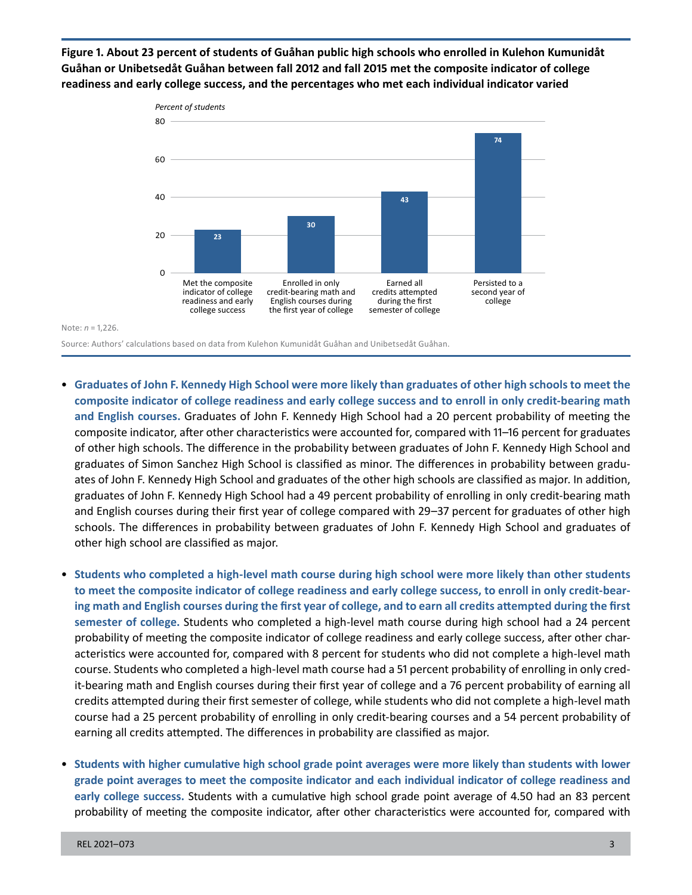**Figure 1. About 23 percent of students of Guåhan public high schools who enrolled in Kulehon Kumunidåt Guåhan or Unibetsedåt Guåhan between fall 2012 and fall 2015 met the composite indicator of college readiness and early college success, and the percentages who met each individual indicator varied** 



Note: *n* = 1,226.

Source: Authors' calculations based on data from Kulehon Kumunidåt Guåhan and Unibetsedåt Guåhan.

- • **Graduates of John F. Kennedy High School were more likely than graduates of other high schools to meet the composite indicator of college readiness and early college success and to enroll in only credit-bearing math and English courses.** Graduates of John F. Kennedy High School had a 20 percent probability of meeting the composite indicator, after other characteristics were accounted for, compared with 11–16 percent for graduates of other high schools. The difference in the probability between graduates of John F. Kennedy High School and graduates of Simon Sanchez High School is classified as minor. The differences in probability between graduates of John F. Kennedy High School and graduates of the other high schools are classified as major. In addition, graduates of John F. Kennedy High School had a 49 percent probability of enrolling in only credit-bearing math and English courses during their first year of college compared with 29–37 percent for graduates of other high schools. The differences in probability between graduates of John F. Kennedy High School and graduates of other high school are classified as major.
- • **Students who completed a high-level math course during high school were more likely than other students to meet the composite indicator of college readiness and early college success, to enroll in only credit-bearing math and English courses during the first year of college, and to earn all credits attempted during the first semester of college.** Students who completed a high-level math course during high school had a 24 percent probability of meeting the composite indicator of college readiness and early college success, after other characteristics were accounted for, compared with 8 percent for students who did not complete a high-level math course. Students who completed a high-level math course had a 51 percent probability of enrolling in only credit-bearing math and English courses during their first year of college and a 76 percent probability of earning all credits attempted during their first semester of college, while students who did not complete a high-level math course had a 25 percent probability of enrolling in only credit-bearing courses and a 54 percent probability of earning all credits attempted. The differences in probability are classified as major.
- • **Students with higher cumulative high school grade point averages were more likely than students with lower early college success.** Students with a cumulative high school grade point average of 4.50 had an 83 percent probability of meeting the composite indicator, after other characteristics were accounted for, compared with **grade point averages to meet the composite indicator and each individual indicator of college readiness and**